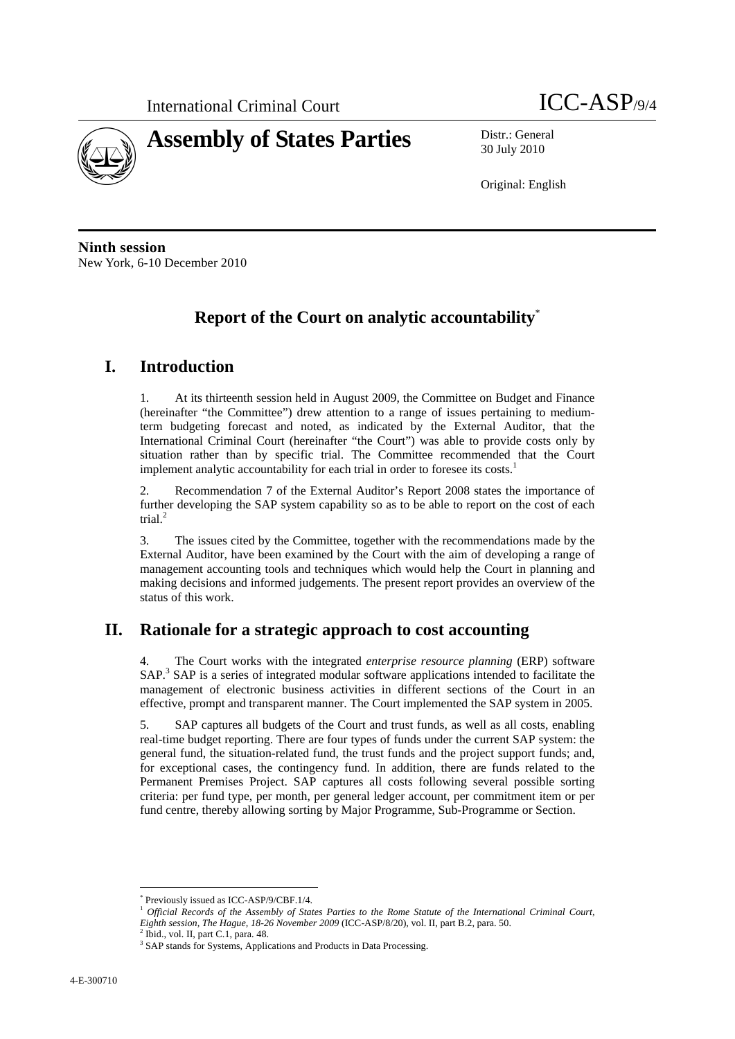

30 July 2010

Original: English

**Ninth session**  New York, 6-10 December 2010

# **Report of the Court on analytic accountability**\*

## **I. Introduction**

1. At its thirteenth session held in August 2009, the Committee on Budget and Finance (hereinafter "the Committee") drew attention to a range of issues pertaining to mediumterm budgeting forecast and noted, as indicated by the External Auditor, that the International Criminal Court (hereinafter "the Court") was able to provide costs only by situation rather than by specific trial. The Committee recommended that the Court implement analytic accountability for each trial in order to foresee its costs.<sup>1</sup>

2. Recommendation 7 of the External Auditor's Report 2008 states the importance of further developing the SAP system capability so as to be able to report on the cost of each trial.<sup>2</sup>

3. The issues cited by the Committee, together with the recommendations made by the External Auditor, have been examined by the Court with the aim of developing a range of management accounting tools and techniques which would help the Court in planning and making decisions and informed judgements. The present report provides an overview of the status of this work.

## **II. Rationale for a strategic approach to cost accounting**

4. The Court works with the integrated *enterprise resource planning* (ERP) software SAP.<sup>3</sup> SAP is a series of integrated modular software applications intended to facilitate the management of electronic business activities in different sections of the Court in an effective, prompt and transparent manner. The Court implemented the SAP system in 2005.

5. SAP captures all budgets of the Court and trust funds, as well as all costs, enabling real-time budget reporting. There are four types of funds under the current SAP system: the general fund, the situation-related fund, the trust funds and the project support funds; and, for exceptional cases, the contingency fund. In addition, there are funds related to the Permanent Premises Project. SAP captures all costs following several possible sorting criteria: per fund type, per month, per general ledger account, per commitment item or per fund centre, thereby allowing sorting by Major Programme, Sub-Programme or Section.

 $\overline{a}$ 

<sup>\*</sup> Previously issued as ICC-ASP/9/CBF.1/4.

<sup>1</sup> *Official Records of the Assembly of States Parties to the Rome Statute of the International Criminal Court, Eighth session, The Hague, 18-26 November 2009* (ICC-ASP/8/20), vol. II, part B.2, para. 50. 2

Ibid., vol. II, part C.1, para. 48.

<sup>&</sup>lt;sup>3</sup> SAP stands for Systems, Applications and Products in Data Processing.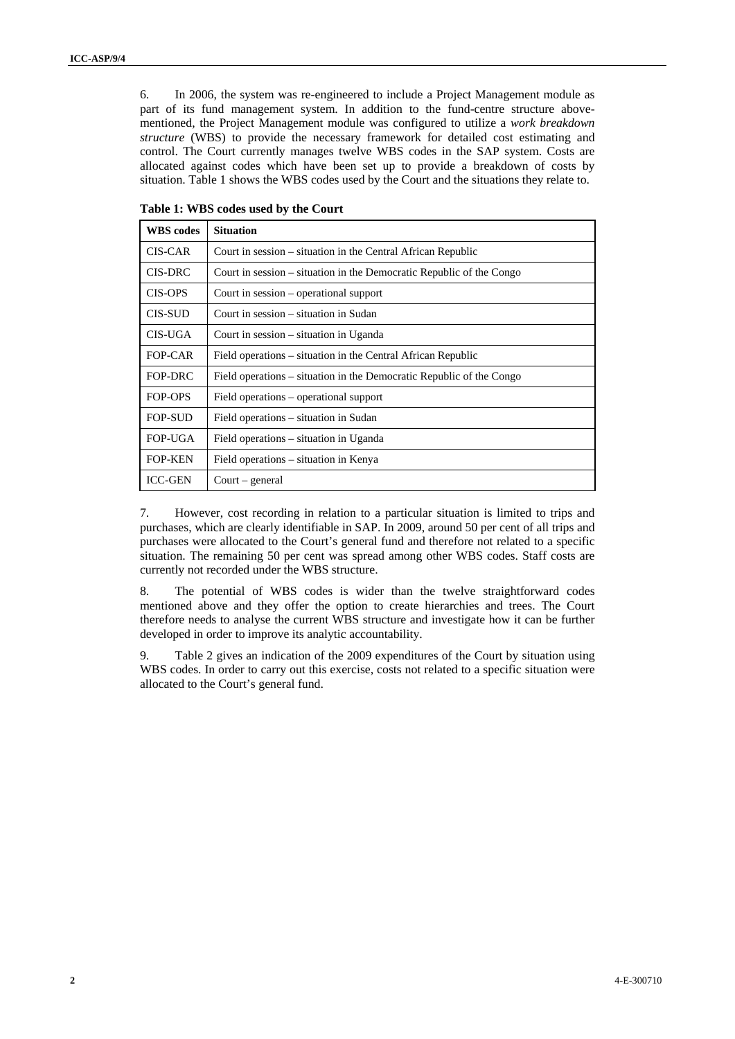6. In 2006, the system was re-engineered to include a Project Management module as part of its fund management system. In addition to the fund-centre structure abovementioned, the Project Management module was configured to utilize a *work breakdown structure* (WBS) to provide the necessary framework for detailed cost estimating and control. The Court currently manages twelve WBS codes in the SAP system. Costs are allocated against codes which have been set up to provide a breakdown of costs by situation. Table 1 shows the WBS codes used by the Court and the situations they relate to.

| <b>WBS</b> codes | <b>Situation</b>                                                     |
|------------------|----------------------------------------------------------------------|
| CIS-CAR          | Court in session – situation in the Central African Republic         |
| CIS-DRC          | Court in session – situation in the Democratic Republic of the Congo |
| <b>CIS-OPS</b>   | Court in session – operational support                               |
| CIS-SUD          | Court in session – situation in Sudan                                |
| CIS-UGA          | Court in session – situation in Uganda                               |
| FOP-CAR          | Field operations – situation in the Central African Republic         |
| FOP-DRC          | Field operations – situation in the Democratic Republic of the Congo |
| FOP-OPS          | Field operations – operational support                               |
| <b>FOP-SUD</b>   | Field operations – situation in Sudan                                |
| <b>FOP-UGA</b>   | Field operations – situation in Uganda                               |
| <b>FOP-KEN</b>   | Field operations – situation in Kenya                                |
| <b>ICC-GEN</b>   | $Court - general$                                                    |

**Table 1: WBS codes used by the Court** 

7. However, cost recording in relation to a particular situation is limited to trips and purchases, which are clearly identifiable in SAP. In 2009, around 50 per cent of all trips and purchases were allocated to the Court's general fund and therefore not related to a specific situation. The remaining 50 per cent was spread among other WBS codes. Staff costs are currently not recorded under the WBS structure.

8. The potential of WBS codes is wider than the twelve straightforward codes mentioned above and they offer the option to create hierarchies and trees. The Court therefore needs to analyse the current WBS structure and investigate how it can be further developed in order to improve its analytic accountability.

9. Table 2 gives an indication of the 2009 expenditures of the Court by situation using WBS codes. In order to carry out this exercise, costs not related to a specific situation were allocated to the Court's general fund.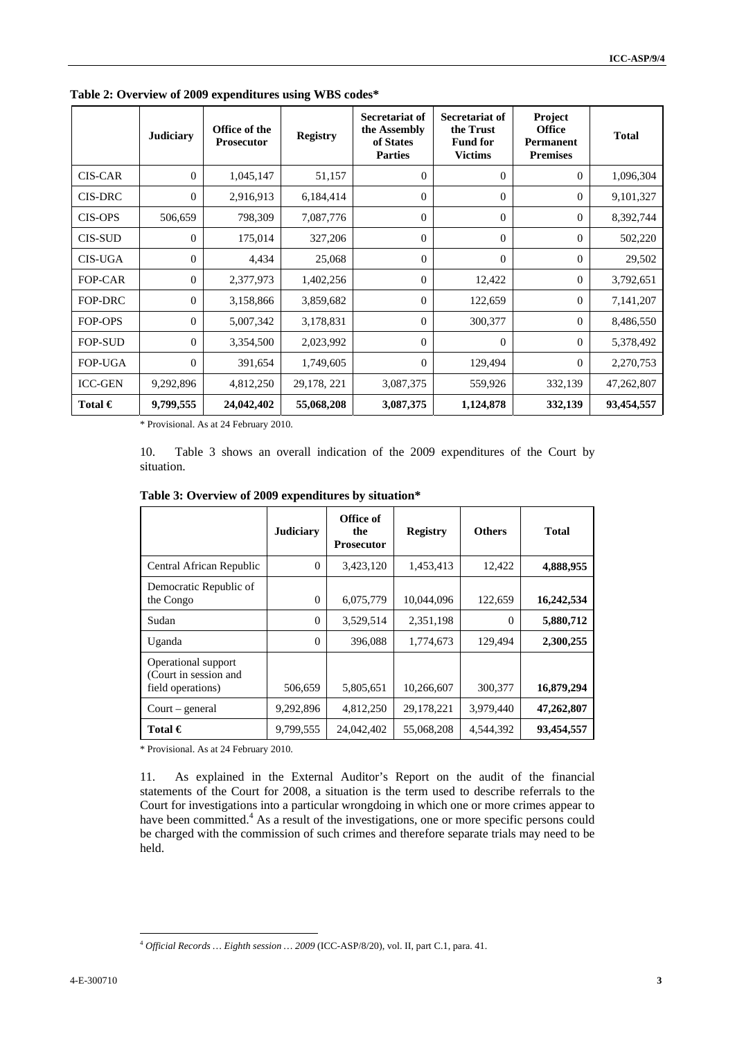|                | <b>Judiciary</b> | Office of the<br><b>Prosecutor</b> | <b>Registry</b> | <b>Secretariat of</b><br>the Assembly<br>of States<br><b>Parties</b> | <b>Secretariat of</b><br>the Trust<br><b>Fund for</b><br><b>Victims</b> | Project<br><b>Office</b><br><b>Permanent</b><br><b>Premises</b> | <b>Total</b> |
|----------------|------------------|------------------------------------|-----------------|----------------------------------------------------------------------|-------------------------------------------------------------------------|-----------------------------------------------------------------|--------------|
| <b>CIS-CAR</b> | $\Omega$         | 1,045,147                          | 51,157          | $\overline{0}$                                                       | $\overline{0}$                                                          | $\overline{0}$                                                  | 1,096,304    |
| <b>CIS-DRC</b> | $\Omega$         | 2,916,913                          | 6,184,414       | $\Omega$                                                             | $\Omega$                                                                | $\mathbf{0}$                                                    | 9,101,327    |
| <b>CIS-OPS</b> | 506,659          | 798,309                            | 7,087,776       | $\Omega$                                                             | $\theta$                                                                | $\mathbf{0}$                                                    | 8,392,744    |
| <b>CIS-SUD</b> | $\Omega$         | 175,014                            | 327,206         | $\Omega$                                                             | $\theta$                                                                | $\theta$                                                        | 502,220      |
| <b>CIS-UGA</b> | $\Omega$         | 4,434                              | 25,068          | $\Omega$                                                             | $\theta$                                                                | $\theta$                                                        | 29,502       |
| <b>FOP-CAR</b> | $\Omega$         | 2,377,973                          | 1,402,256       | $\overline{0}$                                                       | 12,422                                                                  | $\mathbf{0}$                                                    | 3,792,651    |
| <b>FOP-DRC</b> | $\theta$         | 3,158,866                          | 3,859,682       | $\overline{0}$                                                       | 122,659                                                                 | 0                                                               | 7,141,207    |
| FOP-OPS        | $\Omega$         | 5,007,342                          | 3,178,831       | $\Omega$                                                             | 300,377                                                                 | $\mathbf{0}$                                                    | 8,486,550    |
| <b>FOP-SUD</b> | $\Omega$         | 3,354,500                          | 2,023,992       | $\Omega$                                                             | $\Omega$                                                                | $\Omega$                                                        | 5,378,492    |
| <b>FOP-UGA</b> | $\Omega$         | 391,654                            | 1,749,605       | $\Omega$                                                             | 129,494                                                                 | $\mathbf{0}$                                                    | 2,270,753    |
| <b>ICC-GEN</b> | 9,292,896        | 4,812,250                          | 29,178, 221     | 3,087,375                                                            | 559,926                                                                 | 332,139                                                         | 47,262,807   |
| Total $\in$    | 9,799,555        | 24,042,402                         | 55,068,208      | 3,087,375                                                            | 1,124,878                                                               | 332,139                                                         | 93,454,557   |

**Table 2: Overview of 2009 expenditures using WBS codes\*** 

\* Provisional. As at 24 February 2010.

10. Table 3 shows an overall indication of the 2009 expenditures of the Court by situation.

|                                                                   | <b>Judiciary</b> | Office of<br>the<br><b>Prosecutor</b> | <b>Registry</b> | <b>Others</b> | <b>Total</b> |
|-------------------------------------------------------------------|------------------|---------------------------------------|-----------------|---------------|--------------|
| Central African Republic                                          | $\Omega$         | 3,423,120                             | 1,453,413       | 12,422        | 4,888,955    |
| Democratic Republic of<br>the Congo                               | $\Omega$         | 6,075,779                             | 10,044,096      | 122,659       | 16,242,534   |
| Sudan                                                             | $\Omega$         | 3,529,514                             | 2,351,198       | 0             | 5,880,712    |
| Uganda                                                            | $\Omega$         | 396,088                               | 1,774,673       | 129,494       | 2,300,255    |
| Operational support<br>(Court in session and<br>field operations) | 506,659          | 5,805,651                             | 10,266,607      | 300,377       | 16,879,294   |
| $Court - general$                                                 | 9,292,896        | 4,812,250                             | 29,178,221      | 3,979,440     | 47,262,807   |
| Total $\in$                                                       | 9,799,555        | 24,042,402                            | 55,068,208      | 4,544,392     | 93,454,557   |

\* Provisional. As at 24 February 2010.

11. As explained in the External Auditor's Report on the audit of the financial statements of the Court for 2008, a situation is the term used to describe referrals to the Court for investigations into a particular wrongdoing in which one or more crimes appear to have been committed.<sup>4</sup> As a result of the investigations, one or more specific persons could be charged with the commission of such crimes and therefore separate trials may need to be held.

 $\overline{a}$ 

<sup>4</sup> *Official Records … Eighth session … 2009* (ICC-ASP/8/20), vol. II, part C.1, para. 41.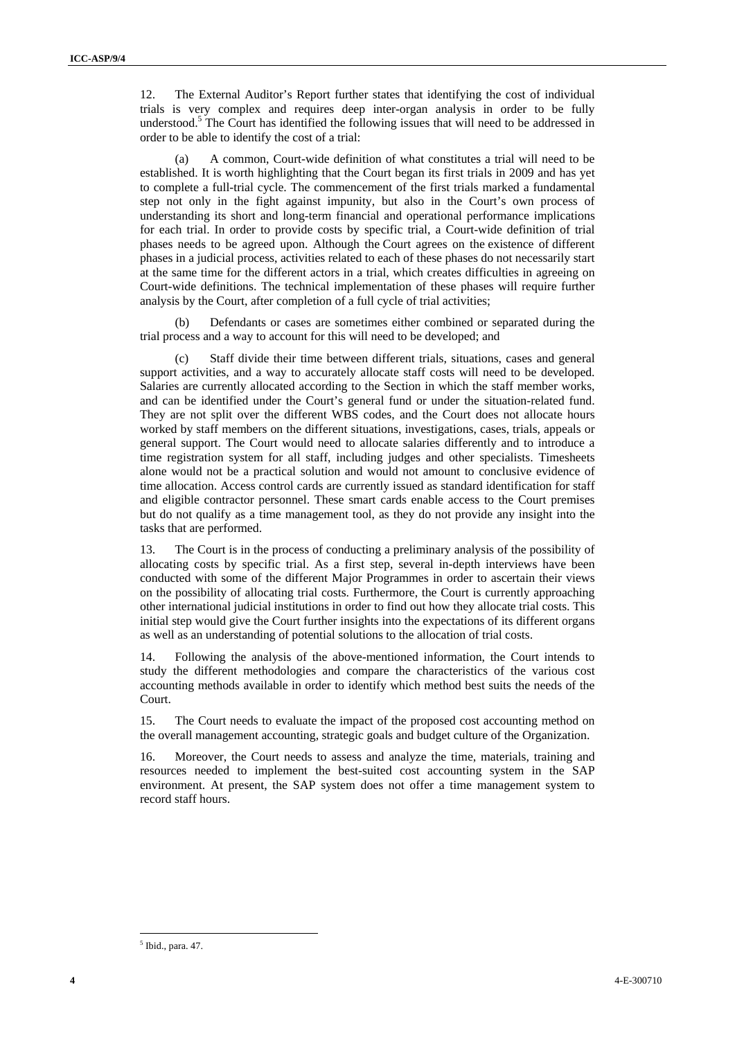12. The External Auditor's Report further states that identifying the cost of individual trials is very complex and requires deep inter-organ analysis in order to be fully understood.<sup>5</sup> The Court has identified the following issues that will need to be addressed in order to be able to identify the cost of a trial:

(a) A common, Court-wide definition of what constitutes a trial will need to be established. It is worth highlighting that the Court began its first trials in 2009 and has yet to complete a full-trial cycle. The commencement of the first trials marked a fundamental step not only in the fight against impunity, but also in the Court's own process of understanding its short and long-term financial and operational performance implications for each trial. In order to provide costs by specific trial, a Court-wide definition of trial phases needs to be agreed upon. Although the Court agrees on the existence of different phases in a judicial process, activities related to each of these phases do not necessarily start at the same time for the different actors in a trial, which creates difficulties in agreeing on Court-wide definitions. The technical implementation of these phases will require further analysis by the Court, after completion of a full cycle of trial activities;

(b) Defendants or cases are sometimes either combined or separated during the trial process and a way to account for this will need to be developed; and

Staff divide their time between different trials, situations, cases and general support activities, and a way to accurately allocate staff costs will need to be developed. Salaries are currently allocated according to the Section in which the staff member works, and can be identified under the Court's general fund or under the situation-related fund. They are not split over the different WBS codes, and the Court does not allocate hours worked by staff members on the different situations, investigations, cases, trials, appeals or general support. The Court would need to allocate salaries differently and to introduce a time registration system for all staff, including judges and other specialists. Timesheets alone would not be a practical solution and would not amount to conclusive evidence of time allocation. Access control cards are currently issued as standard identification for staff and eligible contractor personnel. These smart cards enable access to the Court premises but do not qualify as a time management tool, as they do not provide any insight into the tasks that are performed.

13. The Court is in the process of conducting a preliminary analysis of the possibility of allocating costs by specific trial. As a first step, several in-depth interviews have been conducted with some of the different Major Programmes in order to ascertain their views on the possibility of allocating trial costs. Furthermore, the Court is currently approaching other international judicial institutions in order to find out how they allocate trial costs. This initial step would give the Court further insights into the expectations of its different organs as well as an understanding of potential solutions to the allocation of trial costs.

14. Following the analysis of the above-mentioned information, the Court intends to study the different methodologies and compare the characteristics of the various cost accounting methods available in order to identify which method best suits the needs of the Court.

15. The Court needs to evaluate the impact of the proposed cost accounting method on the overall management accounting, strategic goals and budget culture of the Organization.

16. Moreover, the Court needs to assess and analyze the time, materials, training and resources needed to implement the best-suited cost accounting system in the SAP environment. At present, the SAP system does not offer a time management system to record staff hours.

 $\overline{a}$ 

<sup>5</sup> Ibid., para. 47.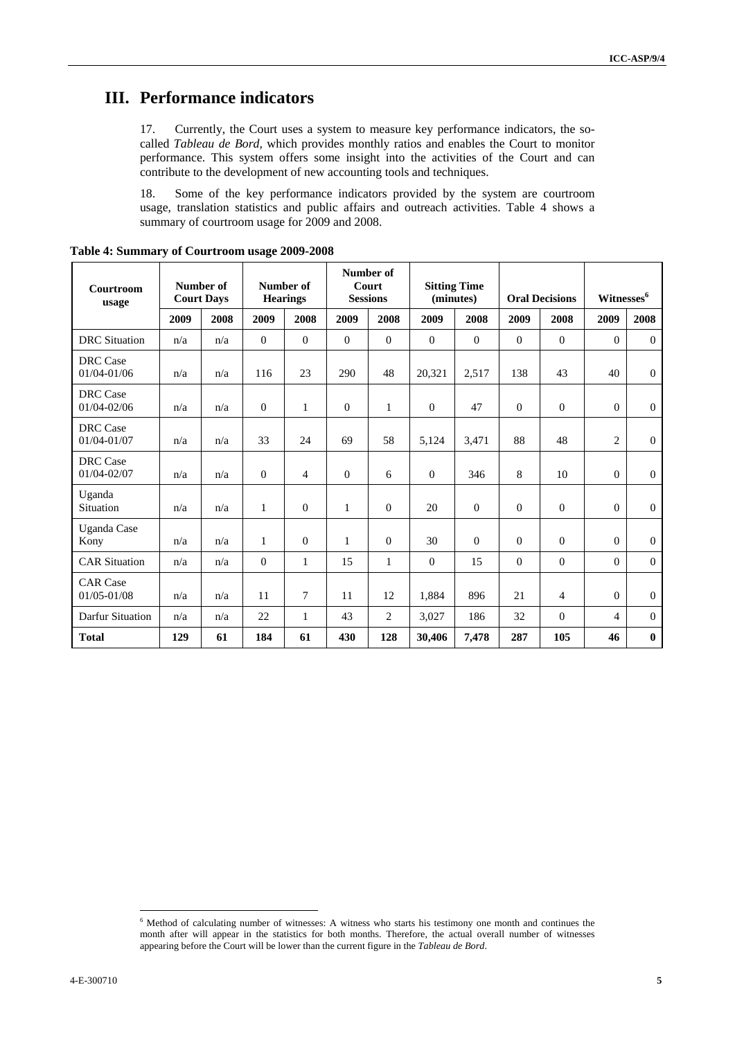## **III. Performance indicators**

17. Currently, the Court uses a system to measure key performance indicators, the socalled *Tableau de Bord,* which provides monthly ratios and enables the Court to monitor performance. This system offers some insight into the activities of the Court and can contribute to the development of new accounting tools and techniques.

18. Some of the key performance indicators provided by the system are courtroom usage, translation statistics and public affairs and outreach activities. Table 4 shows a summary of courtroom usage for 2009 and 2008.

| Courtroom<br>usage                 | Number of<br><b>Court Days</b> |      | Number of<br><b>Hearings</b> |                | Number of<br>Court<br><b>Sessions</b> |                | <b>Sitting Time</b><br>(minutes) |                | <b>Oral Decisions</b> |                | Witnesses <sup>6</sup> |                |
|------------------------------------|--------------------------------|------|------------------------------|----------------|---------------------------------------|----------------|----------------------------------|----------------|-----------------------|----------------|------------------------|----------------|
|                                    | 2009                           | 2008 | 2009                         | 2008           | 2009                                  | 2008           | 2009                             | 2008           | 2009                  | 2008           | 2009                   | 2008           |
| <b>DRC</b> Situation               | n/a                            | n/a  | $\mathbf{0}$                 | $\mathbf{0}$   | $\Omega$                              | $\overline{0}$ | $\Omega$                         | $\overline{0}$ | $\Omega$              | $\mathbf{0}$   | $\Omega$               | $\overline{0}$ |
| DRC Case<br>01/04-01/06            | n/a                            | n/a  | 116                          | 23             | 290                                   | 48             | 20,321                           | 2,517          | 138                   | 43             | 40                     | $\overline{0}$ |
| <b>DRC</b> Case<br>01/04-02/06     | n/a                            | n/a  | $\mathbf{0}$                 | 1              | $\mathbf{0}$                          | $\mathbf{1}$   | $\overline{0}$                   | 47             | $\mathbf{0}$          | $\mathbf{0}$   | $\overline{0}$         | $\overline{0}$ |
| <b>DRC</b> Case<br>$01/04 - 01/07$ | n/a                            | n/a  | 33                           | 24             | 69                                    | 58             | 5,124                            | 3,471          | 88                    | 48             | $\overline{2}$         | $\theta$       |
| DRC Case<br>01/04-02/07            | n/a                            | n/a  | $\overline{0}$               | 4              | $\Omega$                              | 6              | $\theta$                         | 346            | 8                     | 10             | $\Omega$               | $\theta$       |
| Uganda<br>Situation                | n/a                            | n/a  | $\mathbf{1}$                 | $\Omega$       | $\mathbf{1}$                          | $\mathbf{0}$   | 20                               | $\mathbf{0}$   | $\Omega$              | $\theta$       | $\Omega$               | $\mathbf{0}$   |
| Uganda Case<br>Kony                | n/a                            | n/a  | $\mathbf{1}$                 | $\overline{0}$ | $\mathbf{1}$                          | $\overline{0}$ | 30                               | $\overline{0}$ | $\mathbf{0}$          | $\theta$       | $\Omega$               | $\mathbf{0}$   |
| <b>CAR Situation</b>               | n/a                            | n/a  | $\overline{0}$               | 1              | 15                                    | $\mathbf{1}$   | $\theta$                         | 15             | $\mathbf{0}$          | $\theta$       | $\Omega$               | $\theta$       |
| <b>CAR Case</b><br>01/05-01/08     | n/a                            | n/a  | 11                           | 7              | 11                                    | 12             | 1,884                            | 896            | 21                    | $\overline{4}$ | $\Omega$               | $\overline{0}$ |
| Darfur Situation                   | n/a                            | n/a  | 22                           | 1              | 43                                    | $\overline{c}$ | 3,027                            | 186            | 32                    | $\mathbf{0}$   | 4                      | $\mathbf{0}$   |
| <b>Total</b>                       | 129                            | 61   | 184                          | 61             | 430                                   | 128            | 30.406                           | 7,478          | 287                   | 105            | 46                     | $\bf{0}$       |

**Table 4: Summary of Courtroom usage 2009-2008** 

 $\overline{a}$ <sup>6</sup> Method of calculating number of witnesses: A witness who starts his testimony one month and continues the month after will appear in the statistics for both months. Therefore, the actual overall number of witnesses appearing before the Court will be lower than the current figure in the *Tableau de Bord*.